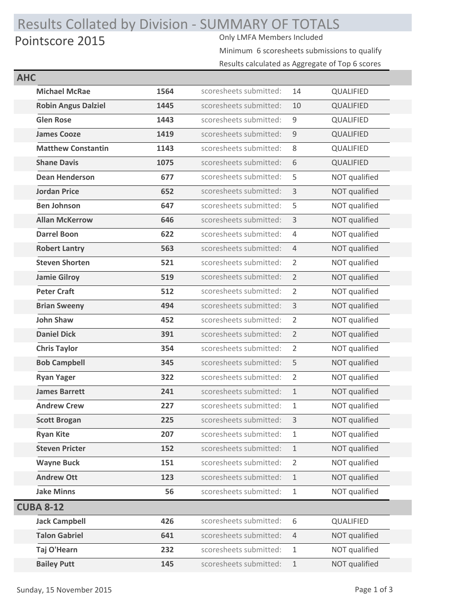## Results Collated by Division - SUMMARY OF TOTALS<br>Pointscore 2015 Pointscore 2015

Minimum 6 scoresheets submissions to qualify

| Results calculated as Aggregate of Top 6 scores |  |
|-------------------------------------------------|--|
|-------------------------------------------------|--|

| <b>AHC</b> |                            |      |                        |                |               |
|------------|----------------------------|------|------------------------|----------------|---------------|
|            | <b>Michael McRae</b>       | 1564 | scoresheets submitted: | 14             | QUALIFIED     |
|            | <b>Robin Angus Dalziel</b> | 1445 | scoresheets submitted: | 10             | QUALIFIED     |
|            | <b>Glen Rose</b>           | 1443 | scoresheets submitted: | 9              | QUALIFIED     |
|            | <b>James Cooze</b>         | 1419 | scoresheets submitted: | $\overline{9}$ | QUALIFIED     |
|            | <b>Matthew Constantin</b>  | 1143 | scoresheets submitted: | 8              | QUALIFIED     |
|            | <b>Shane Davis</b>         | 1075 | scoresheets submitted: | 6              | QUALIFIED     |
|            | <b>Dean Henderson</b>      | 677  | scoresheets submitted: | 5              | NOT qualified |
|            | <b>Jordan Price</b>        | 652  | scoresheets submitted: | 3              | NOT qualified |
|            | <b>Ben Johnson</b>         | 647  | scoresheets submitted: | 5              | NOT qualified |
|            | <b>Allan McKerrow</b>      | 646  | scoresheets submitted: | 3              | NOT qualified |
|            | <b>Darrel Boon</b>         | 622  | scoresheets submitted: | $\overline{4}$ | NOT qualified |
|            | <b>Robert Lantry</b>       | 563  | scoresheets submitted: | $\overline{4}$ | NOT qualified |
|            | <b>Steven Shorten</b>      | 521  | scoresheets submitted: | 2              | NOT qualified |
|            | <b>Jamie Gilroy</b>        | 519  | scoresheets submitted: | $\overline{2}$ | NOT qualified |
|            | <b>Peter Craft</b>         | 512  | scoresheets submitted: | $\overline{2}$ | NOT qualified |
|            | <b>Brian Sweeny</b>        | 494  | scoresheets submitted: | 3              | NOT qualified |
|            | <b>John Shaw</b>           | 452  | scoresheets submitted: | $\overline{2}$ | NOT qualified |
|            | <b>Daniel Dick</b>         | 391  | scoresheets submitted: | 2              | NOT qualified |
|            | <b>Chris Taylor</b>        | 354  | scoresheets submitted: | $\overline{2}$ | NOT qualified |
|            | <b>Bob Campbell</b>        | 345  | scoresheets submitted: | 5              | NOT qualified |
|            | <b>Ryan Yager</b>          | 322  | scoresheets submitted: | $\overline{2}$ | NOT qualified |
|            | <b>James Barrett</b>       | 241  | scoresheets submitted: | $\mathbf{1}$   | NOT qualified |
|            | <b>Andrew Crew</b>         | 227  | scoresheets submitted: | $\mathbf{1}$   | NOT qualified |
|            | <b>Scott Brogan</b>        | 225  | scoresheets submitted: | 3              | NOT qualified |
|            | <b>Ryan Kite</b>           | 207  | scoresheets submitted: | 1              | NOT qualified |
|            | <b>Steven Pricter</b>      | 152  | scoresheets submitted: | $\mathbf{1}$   | NOT qualified |
|            | <b>Wayne Buck</b>          | 151  | scoresheets submitted: | $\overline{2}$ | NOT qualified |
|            | <b>Andrew Ott</b>          | 123  | scoresheets submitted: | $\mathbf{1}$   | NOT qualified |
|            | <b>Jake Minns</b>          | 56   | scoresheets submitted: | $\mathbf{1}$   | NOT qualified |
|            | <b>CUBA 8-12</b>           |      |                        |                |               |
|            | <b>Jack Campbell</b>       | 426  | scoresheets submitted: | 6              | QUALIFIED     |
|            | <b>Talon Gabriel</b>       | 641  | scoresheets submitted: | 4              | NOT qualified |
|            | Taj O'Hearn                | 232  | scoresheets submitted: | $\mathbf{1}$   | NOT qualified |
|            | <b>Bailey Putt</b>         | 145  | scoresheets submitted: | 1              | NOT qualified |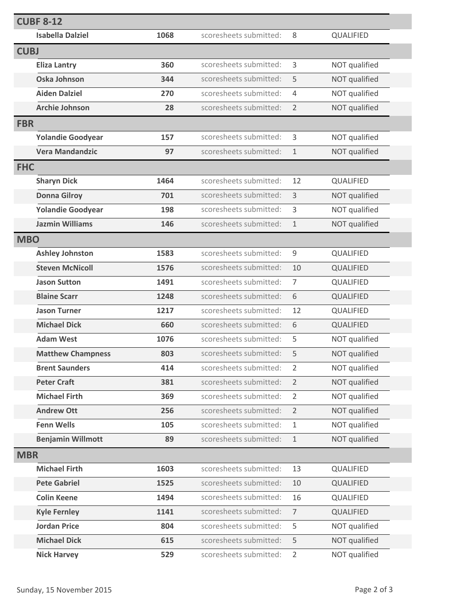|             | <b>CUBF 8-12</b>         |      |                        |                |                  |  |
|-------------|--------------------------|------|------------------------|----------------|------------------|--|
|             | <b>Isabella Dalziel</b>  | 1068 | scoresheets submitted: | 8              | QUALIFIED        |  |
| <b>CUBJ</b> |                          |      |                        |                |                  |  |
|             | <b>Eliza Lantry</b>      | 360  | scoresheets submitted: | 3              | NOT qualified    |  |
|             | <b>Oska Johnson</b>      | 344  | scoresheets submitted: | 5              | NOT qualified    |  |
|             | <b>Aiden Dalziel</b>     | 270  | scoresheets submitted: | $\overline{4}$ | NOT qualified    |  |
|             | <b>Archie Johnson</b>    | 28   | scoresheets submitted: | $\overline{2}$ | NOT qualified    |  |
| <b>FBR</b>  |                          |      |                        |                |                  |  |
|             | <b>Yolandie Goodyear</b> | 157  | scoresheets submitted: | 3              | NOT qualified    |  |
|             | <b>Vera Mandandzic</b>   | 97   | scoresheets submitted: | $\mathbf{1}$   | NOT qualified    |  |
| <b>FHC</b>  |                          |      |                        |                |                  |  |
|             | <b>Sharyn Dick</b>       | 1464 | scoresheets submitted: | 12             | <b>QUALIFIED</b> |  |
|             | <b>Donna Gilroy</b>      | 701  | scoresheets submitted: | 3              | NOT qualified    |  |
|             | <b>Yolandie Goodyear</b> | 198  | scoresheets submitted: | 3              | NOT qualified    |  |
|             | <b>Jazmin Williams</b>   | 146  | scoresheets submitted: | $\mathbf 1$    | NOT qualified    |  |
| <b>MBO</b>  |                          |      |                        |                |                  |  |
|             | <b>Ashley Johnston</b>   | 1583 | scoresheets submitted: | $\mathsf 9$    | QUALIFIED        |  |
|             | <b>Steven McNicoll</b>   | 1576 | scoresheets submitted: | 10             | QUALIFIED        |  |
|             | <b>Jason Sutton</b>      | 1491 | scoresheets submitted: | $\overline{7}$ | QUALIFIED        |  |
|             | <b>Blaine Scarr</b>      | 1248 | scoresheets submitted: | 6              | QUALIFIED        |  |
|             | <b>Jason Turner</b>      | 1217 | scoresheets submitted: | 12             | QUALIFIED        |  |
|             | <b>Michael Dick</b>      | 660  | scoresheets submitted: | 6              | QUALIFIED        |  |
|             | <b>Adam West</b>         | 1076 | scoresheets submitted: | 5              | NOT qualified    |  |
|             | <b>Matthew Champness</b> | 803  | scoresheets submitted: | 5              | NOT qualified    |  |
|             | <b>Brent Saunders</b>    | 414  | scoresheets submitted: | $\overline{2}$ | NOT qualified    |  |
|             | <b>Peter Craft</b>       | 381  | scoresheets submitted: | $\overline{2}$ | NOT qualified    |  |
|             | <b>Michael Firth</b>     | 369  | scoresheets submitted: | $\overline{2}$ | NOT qualified    |  |
|             | <b>Andrew Ott</b>        | 256  | scoresheets submitted: | $\overline{2}$ | NOT qualified    |  |
|             | <b>Fenn Wells</b>        | 105  | scoresheets submitted: | $\mathbf{1}$   | NOT qualified    |  |
|             | <b>Benjamin Willmott</b> | 89   | scoresheets submitted: | $\mathbf{1}$   | NOT qualified    |  |
| <b>MBR</b>  |                          |      |                        |                |                  |  |
|             | <b>Michael Firth</b>     | 1603 | scoresheets submitted: | 13             | QUALIFIED        |  |
|             | <b>Pete Gabriel</b>      | 1525 | scoresheets submitted: | 10             | QUALIFIED        |  |
|             | <b>Colin Keene</b>       | 1494 | scoresheets submitted: | 16             | QUALIFIED        |  |
|             | <b>Kyle Fernley</b>      | 1141 | scoresheets submitted: | $\overline{7}$ | QUALIFIED        |  |
|             | <b>Jordan Price</b>      | 804  | scoresheets submitted: | 5              | NOT qualified    |  |
|             | <b>Michael Dick</b>      | 615  | scoresheets submitted: | 5              | NOT qualified    |  |
|             | <b>Nick Harvey</b>       | 529  | scoresheets submitted: | $\overline{2}$ | NOT qualified    |  |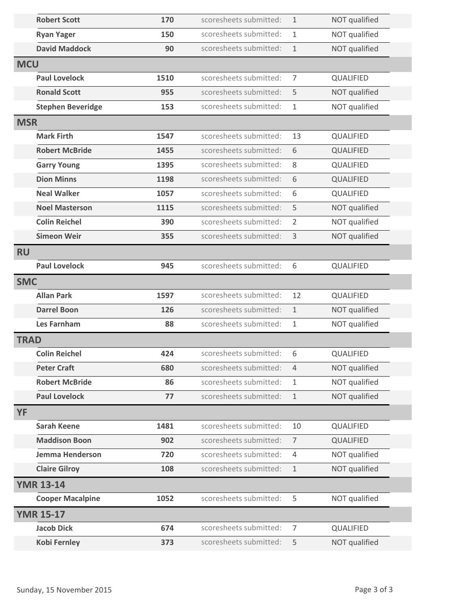|             | <b>Robert Scott</b>      | 170  | scoresheets submitted: | $\mathbf{1}$   | NOT qualified    |  |
|-------------|--------------------------|------|------------------------|----------------|------------------|--|
|             | <b>Ryan Yager</b>        | 150  | scoresheets submitted: | $\mathbf{1}$   | NOT qualified    |  |
|             | <b>David Maddock</b>     | 90   | scoresheets submitted: | $1\,$          | NOT qualified    |  |
| <b>MCU</b>  |                          |      |                        |                |                  |  |
|             | <b>Paul Lovelock</b>     | 1510 | scoresheets submitted: | $\overline{7}$ | QUALIFIED        |  |
|             | <b>Ronald Scott</b>      | 955  | scoresheets submitted: | 5              | NOT qualified    |  |
|             | <b>Stephen Beveridge</b> | 153  | scoresheets submitted: | $\mathbf{1}$   | NOT qualified    |  |
| <b>MSR</b>  |                          |      |                        |                |                  |  |
|             | <b>Mark Firth</b>        | 1547 | scoresheets submitted: | 13             | QUALIFIED        |  |
|             | <b>Robert McBride</b>    | 1455 | scoresheets submitted: | 6              | QUALIFIED        |  |
|             | <b>Garry Young</b>       | 1395 | scoresheets submitted: | 8              | QUALIFIED        |  |
|             | <b>Dion Minns</b>        | 1198 | scoresheets submitted: | 6              | QUALIFIED        |  |
|             | <b>Neal Walker</b>       | 1057 | scoresheets submitted: | 6              | QUALIFIED        |  |
|             | <b>Noel Masterson</b>    | 1115 | scoresheets submitted: | 5              | NOT qualified    |  |
|             | <b>Colin Reichel</b>     | 390  | scoresheets submitted: | $\overline{2}$ | NOT qualified    |  |
|             | <b>Simeon Weir</b>       | 355  | scoresheets submitted: | 3              | NOT qualified    |  |
| <b>RU</b>   |                          |      |                        |                |                  |  |
|             | <b>Paul Lovelock</b>     | 945  | scoresheets submitted: | 6              | QUALIFIED        |  |
| <b>SMC</b>  |                          |      |                        |                |                  |  |
|             | <b>Allan Park</b>        | 1597 | scoresheets submitted: | 12             | QUALIFIED        |  |
|             | <b>Darrel Boon</b>       | 126  | scoresheets submitted: | $\mathbf{1}$   | NOT qualified    |  |
|             | <b>Les Farnham</b>       | 88   | scoresheets submitted: | $\mathbf{1}$   | NOT qualified    |  |
| <b>TRAD</b> |                          |      |                        |                |                  |  |
|             | <b>Colin Reichel</b>     | 424  | scoresheets submitted: | 6              | QUALIFIED        |  |
|             | <b>Peter Craft</b>       | 680  | scoresheets submitted: | $\overline{4}$ | NOT qualified    |  |
|             | <b>Robert McBride</b>    | 86   | scoresheets submitted: | $\mathbf{1}$   | NOT qualified    |  |
|             | <b>Paul Lovelock</b>     | 77   | scoresheets submitted: | $1\,$          | NOT qualified    |  |
| <b>YF</b>   |                          |      |                        |                |                  |  |
|             | <b>Sarah Keene</b>       | 1481 | scoresheets submitted: | 10             | <b>QUALIFIED</b> |  |
|             | <b>Maddison Boon</b>     | 902  | scoresheets submitted: | $\overline{7}$ | QUALIFIED        |  |
|             | Jemma Henderson          | 720  | scoresheets submitted: | $\overline{4}$ | NOT qualified    |  |
|             | <b>Claire Gilroy</b>     | 108  | scoresheets submitted: | $1\,$          | NOT qualified    |  |
|             | <b>YMR 13-14</b>         |      |                        |                |                  |  |
|             | <b>Cooper Macalpine</b>  | 1052 | scoresheets submitted: | 5              | NOT qualified    |  |
|             | <b>YMR 15-17</b>         |      |                        |                |                  |  |
|             | <b>Jacob Dick</b>        | 674  | scoresheets submitted: | $\overline{7}$ | <b>QUALIFIED</b> |  |
|             | Kobi Fernley             | 373  | scoresheets submitted: | 5              | NOT qualified    |  |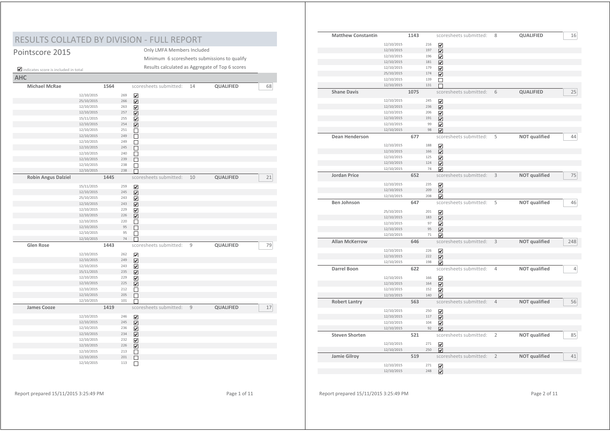## RESULTS COLLATED BY DIVISION - FULL REPORT

| Pointscore 2015                      |            |      |     |    | Only LMFA Members Included                      |    |           |    |
|--------------------------------------|------------|------|-----|----|-------------------------------------------------|----|-----------|----|
|                                      |            |      |     |    | Minimum 6 scoresheets submissions to qualify    |    |           |    |
| indicates score is included in total |            |      |     |    | Results calculated as Aggregate of Top 6 scores |    |           |    |
| <b>AHC</b>                           |            |      |     |    |                                                 |    |           |    |
| <b>Michael McRae</b>                 |            | 1564 |     |    | scoresheets submitted:                          | 14 | QUALIFIED | 68 |
|                                      | 12/10/2015 |      | 269 | ☑  |                                                 |    |           |    |
|                                      | 25/10/2015 |      | 266 | ☑  |                                                 |    |           |    |
|                                      | 12/10/2015 |      | 263 | ☑  |                                                 |    |           |    |
|                                      | 12/10/2015 |      | 257 | ☑  |                                                 |    |           |    |
|                                      | 15/11/2015 |      | 255 | ☑  |                                                 |    |           |    |
|                                      | 12/10/2015 |      | 254 | ا⊽ |                                                 |    |           |    |
|                                      | 12/10/2015 |      | 251 | □  |                                                 |    |           |    |
|                                      | 12/10/2015 |      | 249 | П  |                                                 |    |           |    |
|                                      | 12/10/2015 |      | 249 | □  |                                                 |    |           |    |
|                                      | 12/10/2015 |      | 245 | П  |                                                 |    |           |    |
|                                      | 12/10/2015 |      | 240 | П  |                                                 |    |           |    |
|                                      | 12/10/2015 |      | 239 | П  |                                                 |    |           |    |
|                                      | 12/10/2015 |      | 238 | П  |                                                 |    |           |    |
|                                      | 12/10/2015 |      | 238 | г  |                                                 |    |           |    |
| <b>Robin Angus Dalziel</b>           |            | 1445 |     |    | scoresheets submitted:                          | 10 | QUALIFIED | 21 |
|                                      | 15/11/2015 |      | 259 | ☑  |                                                 |    |           |    |
|                                      | 12/10/2015 |      | 245 | ☑  |                                                 |    |           |    |
|                                      | 25/10/2015 |      | 243 | ☑  |                                                 |    |           |    |
|                                      | 12/10/2015 |      | 243 | ☑  |                                                 |    |           |    |
|                                      | 12/10/2015 |      | 229 | ☑  |                                                 |    |           |    |
|                                      | 12/10/2015 |      | 226 | ☑  |                                                 |    |           |    |
|                                      | 12/10/2015 |      | 220 | □  |                                                 |    |           |    |
|                                      | 12/10/2015 |      | 95  | П  |                                                 |    |           |    |
|                                      | 12/10/2015 |      | 95  | П  |                                                 |    |           |    |
|                                      | 12/10/2015 |      | 74  |    |                                                 |    |           |    |
| <b>Glen Rose</b>                     |            | 1443 |     |    | scoresheets submitted:                          | 9  | QUALIFIED | 79 |
|                                      | 12/10/2015 |      | 262 | ☑  |                                                 |    |           |    |
|                                      | 12/10/2015 |      | 249 | ☑  |                                                 |    |           |    |
|                                      | 12/10/2015 |      | 243 | ☑  |                                                 |    |           |    |
|                                      | 15/11/2015 |      | 235 | ☑  |                                                 |    |           |    |
|                                      | 12/10/2015 |      | 229 | ☑  |                                                 |    |           |    |
|                                      | 12/10/2015 |      | 225 | ☑  |                                                 |    |           |    |
|                                      | 12/10/2015 |      | 212 | □  |                                                 |    |           |    |
|                                      | 12/10/2015 |      | 205 | П  |                                                 |    |           |    |
|                                      | 12/10/2015 |      | 101 |    |                                                 |    |           |    |
| <b>James Cooze</b>                   |            | 1419 |     |    | scoresheets submitted:                          | 9  | QUALIFIED | 17 |
|                                      | 12/10/2015 |      | 246 | ☑  |                                                 |    |           |    |
|                                      | 12/10/2015 |      | 245 | ☑  |                                                 |    |           |    |
|                                      | 12/10/2015 |      | 236 | ☑  |                                                 |    |           |    |
|                                      | 12/10/2015 |      | 234 | ☑  |                                                 |    |           |    |
|                                      | 12/10/2015 |      | 232 | ☑  |                                                 |    |           |    |
|                                      | 12/10/2015 |      | 226 | ☑  |                                                 |    |           |    |
|                                      | 12/10/2015 |      | 213 | П  |                                                 |    |           |    |
|                                      | 12/10/2015 |      | 201 | □  |                                                 |    |           |    |
|                                      | 12/10/2015 |      | 113 | П  |                                                 |    |           |    |

| <b>Matthew Constantin</b> |            | 1143 |     | scoresheets submitted:  | 8              | QUALIFIED            | 16             |
|---------------------------|------------|------|-----|-------------------------|----------------|----------------------|----------------|
|                           |            |      |     |                         |                |                      |                |
|                           | 12/10/2015 |      | 216 | $\overline{\mathbf{v}}$ |                |                      |                |
|                           | 12/10/2015 |      | 197 | $\overline{\mathbf{v}}$ |                |                      |                |
|                           | 12/10/2015 |      | 196 | ☑                       |                |                      |                |
|                           | 12/10/2015 |      | 181 | $\blacktriangledown$    |                |                      |                |
|                           | 12/10/2015 |      | 179 | $\overline{\mathbf{v}}$ |                |                      |                |
|                           | 25/10/2015 |      | 174 | $\blacktriangledown$    |                |                      |                |
|                           | 12/10/2015 |      | 139 | $\Box$                  |                |                      |                |
|                           | 12/10/2015 |      | 131 | г                       |                |                      |                |
| <b>Shane Davis</b>        |            | 1075 |     | scoresheets submitted:  | 6              | QUALIFIED            | 25             |
|                           | 12/10/2015 |      | 245 | $\overline{\mathbf{v}}$ |                |                      |                |
|                           | 12/10/2015 |      | 236 | ☑                       |                |                      |                |
|                           | 12/10/2015 |      | 206 | $\overline{\mathbf{v}}$ |                |                      |                |
|                           | 12/10/2015 |      | 191 | ☑                       |                |                      |                |
|                           | 12/10/2015 |      | 99  | $\overline{\mathbf{v}}$ |                |                      |                |
|                           | 12/10/2015 |      | 98  | ☑                       |                |                      |                |
| <b>Dean Henderson</b>     |            | 677  |     | scoresheets submitted:  | 5              | <b>NOT</b> qualified | 44             |
|                           |            |      |     |                         |                |                      |                |
|                           | 12/10/2015 |      | 188 | $\overline{\mathbf{v}}$ |                |                      |                |
|                           | 12/10/2015 |      | 166 | $\overline{\mathbf{v}}$ |                |                      |                |
|                           | 12/10/2015 |      | 125 | $\overline{\mathbf{v}}$ |                |                      |                |
|                           | 12/10/2015 |      | 124 | $\overline{\mathbf{v}}$ |                |                      |                |
|                           | 12/10/2015 |      | 74  | ✔                       |                |                      |                |
| <b>Jordan Price</b>       |            | 652  |     | scoresheets submitted:  | 3              | <b>NOT qualified</b> | 75             |
|                           |            |      |     |                         |                |                      |                |
|                           | 12/10/2015 |      | 235 | ☑                       |                |                      |                |
|                           | 12/10/2015 |      | 209 | ☑                       |                |                      |                |
|                           | 12/10/2015 |      | 208 | $\overline{\mathbf{v}}$ |                |                      |                |
| <b>Ben Johnson</b>        |            | 647  |     | scoresheets submitted:  | 5              | <b>NOT</b> qualified | 46             |
|                           | 25/10/2015 |      | 201 | $\overline{\mathbf{v}}$ |                |                      |                |
|                           | 12/10/2015 |      | 183 |                         |                |                      |                |
|                           | 12/10/2015 |      | 97  | ☑                       |                |                      |                |
|                           | 12/10/2015 |      | 95  | $\overline{\mathbf{v}}$ |                |                      |                |
|                           | 12/10/2015 |      | 71  | ☑                       |                |                      |                |
| <b>Allan McKerrow</b>     |            |      |     | ⊽                       |                |                      |                |
|                           |            | 646  |     | scoresheets submitted:  | 3              | <b>NOT qualified</b> | 248            |
|                           | 12/10/2015 |      | 226 | $\overline{\mathbf{v}}$ |                |                      |                |
|                           | 12/10/2015 |      | 222 | $\blacktriangledown$    |                |                      |                |
|                           | 12/10/2015 |      | 198 | $\overline{\mathbf{v}}$ |                |                      |                |
| <b>Darrel Boon</b>        |            | 622  |     | scoresheets submitted:  | 4              | <b>NOT qualified</b> | $\overline{4}$ |
|                           |            |      |     |                         |                |                      |                |
|                           | 12/10/2015 |      | 166 | ☑                       |                |                      |                |
|                           | 12/10/2015 |      | 164 | $\overline{\mathbf{v}}$ |                |                      |                |
|                           | 12/10/2015 |      | 152 | $\overline{\mathbf{v}}$ |                |                      |                |
|                           | 12/10/2015 |      | 140 | ☑                       |                |                      |                |
| <b>Robert Lantry</b>      |            | 563  |     | scoresheets submitted:  | $\overline{4}$ | <b>NOT qualified</b> | 56             |
|                           | 12/10/2015 |      | 250 | ☑                       |                |                      |                |
|                           | 12/10/2015 |      | 117 | $\overline{\mathbf{v}}$ |                |                      |                |
|                           | 12/10/2015 |      | 104 | ☑                       |                |                      |                |
|                           | 12/10/2015 |      | 92  | ⊽                       |                |                      |                |
| <b>Steven Shorten</b>     |            | 521  |     |                         |                |                      |                |
|                           |            |      |     | scoresheets submitted:  | 2              | <b>NOT qualified</b> | 85             |
|                           | 12/10/2015 |      | 271 | ☑                       |                |                      |                |
|                           | 12/10/2015 |      | 250 | $\overline{\mathbf{v}}$ |                |                      |                |
| Jamie Gilroy              |            | 519  |     | scoresheets submitted:  | $\overline{2}$ | <b>NOT qualified</b> | 41             |
|                           |            |      |     |                         |                |                      |                |
|                           | 12/10/2015 |      | 271 | $\overline{\mathbf{v}}$ |                |                      |                |
|                           | 12/10/2015 |      | 248 | $\overline{\mathbf{v}}$ |                |                      |                |
|                           |            |      |     |                         |                |                      |                |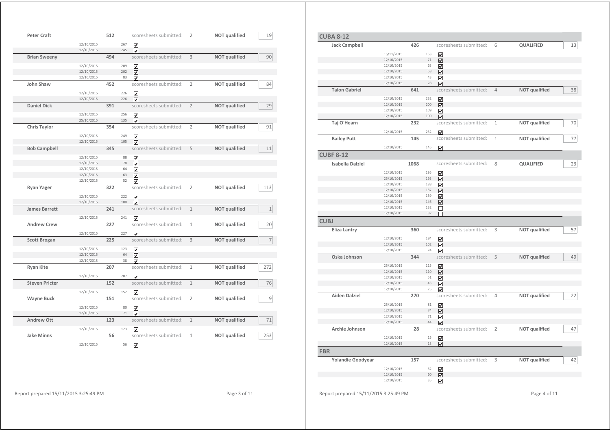| <b>Peter Craft</b>    |                          | 512 |     | scoresheets submitted:      | 2              | <b>NOT</b> qualified | 19             |
|-----------------------|--------------------------|-----|-----|-----------------------------|----------------|----------------------|----------------|
|                       | 12/10/2015               |     | 267 | $\overline{\mathbf{v}}$     |                |                      |                |
|                       | 12/10/2015               |     | 245 | $\overline{\mathbf{v}}$     |                |                      |                |
| <b>Brian Sweeny</b>   |                          | 494 |     | scoresheets submitted:      | 3              | <b>NOT</b> qualified | 90             |
|                       |                          |     |     |                             |                |                      |                |
|                       | 12/10/2015               |     | 209 | $\overline{\mathbf{v}}$     |                |                      |                |
|                       | 12/10/2015               |     | 202 | $\overline{\mathbf{v}}$     |                |                      |                |
|                       | 12/10/2015               |     | 83  | ☑                           |                |                      |                |
| John Shaw             |                          | 452 |     | scoresheets submitted:      | $\overline{2}$ | <b>NOT qualified</b> | 84             |
|                       | 12/10/2015               |     | 226 | ☑                           |                |                      |                |
|                       | 12/10/2015               |     | 226 | ☑                           |                |                      |                |
| <b>Daniel Dick</b>    |                          | 391 |     | scoresheets submitted:      | $\overline{2}$ | <b>NOT</b> qualified | 29             |
|                       | 12/10/2015               |     | 256 | $\blacktriangledown$        |                |                      |                |
|                       | 25/10/2015               |     | 135 | $\overline{\mathbf{v}}$     |                |                      |                |
| <b>Chris Taylor</b>   |                          | 354 |     | scoresheets submitted:      | $\overline{2}$ | <b>NOT qualified</b> | 91             |
|                       |                          |     |     |                             |                |                      |                |
|                       | 12/10/2015               |     | 249 | ⊽                           |                |                      |                |
|                       | 12/10/2015               |     | 105 | $\overline{\mathbf{v}}$     |                |                      |                |
| <b>Bob Campbell</b>   |                          | 345 |     | scoresheets submitted:      | 5              | <b>NOT</b> qualified | 11             |
|                       | 12/10/2015               |     | 88  | ☑                           |                |                      |                |
|                       | 12/10/2015               |     | 78  | $\overline{\mathbf{v}}$     |                |                      |                |
|                       | 12/10/2015               |     | 64  | ⊽                           |                |                      |                |
|                       | 12/10/2015               |     | 63  | $\overline{\mathbf{v}}$     |                |                      |                |
|                       | 12/10/2015               |     | 52  | ☑                           |                |                      |                |
| <b>Ryan Yager</b>     |                          | 322 |     | scoresheets submitted:      | $\overline{2}$ | <b>NOT qualified</b> | 113            |
|                       | 12/10/2015               |     | 222 | $\overline{\mathbf{v}}$     |                |                      |                |
|                       | 12/10/2015               |     | 100 | ☑                           |                |                      |                |
| <b>James Barrett</b>  |                          | 241 |     | scoresheets submitted:      | $\mathbf{1}$   | <b>NOT</b> qualified | $\,1\,$        |
|                       |                          |     |     |                             |                |                      |                |
|                       | 12/10/2015               |     | 241 | ☑                           |                |                      |                |
| <b>Andrew Crew</b>    |                          | 227 |     | scoresheets submitted:      | $\mathbf{1}$   | NOT qualified        | 20             |
|                       | 12/10/2015               |     | 227 | ☑                           |                |                      |                |
| <b>Scott Brogan</b>   |                          | 225 |     | scoresheets submitted:      | 3              | NOT qualified        | $\overline{7}$ |
|                       |                          |     | 123 |                             |                |                      |                |
|                       | 12/10/2015<br>12/10/2015 |     | 64  | $\overline{\mathbf{v}}$     |                |                      |                |
|                       | 12/10/2015               |     | 38  | ☑                           |                |                      |                |
|                       |                          | 207 |     | ⊽<br>scoresheets submitted: | 1              | NOT qualified        | 272            |
| <b>Ryan Kite</b>      |                          |     |     |                             |                |                      |                |
|                       | 12/10/2015               |     | 207 | ☑                           |                |                      |                |
| <b>Steven Pricter</b> |                          | 152 |     | scoresheets submitted:      | $\mathbf{1}$   | NOT qualified        | 76             |
|                       | 12/10/2015               |     | 152 | ☑                           |                |                      |                |
| <b>Wayne Buck</b>     |                          | 151 |     | scoresheets submitted:      | $\overline{2}$ | <b>NOT</b> qualified | $\mathsf 9$    |
|                       |                          |     | 80  |                             |                |                      |                |
|                       | 12/10/2015               |     | 71  | $\overline{\mathbf{v}}$     |                |                      |                |
|                       | 12/10/2015               |     |     | $\overline{\mathbf{v}}$     |                |                      |                |
| <b>Andrew Ott</b>     |                          | 123 |     | scoresheets submitted:      | $\mathbf{1}$   | <b>NOT</b> qualified | 71             |
|                       | 12/10/2015               |     | 123 | ☑                           |                |                      |                |
| <b>Jake Minns</b>     |                          | 56  |     | scoresheets submitted:      | $\mathbf{1}$   | NOT qualified        | 253            |
|                       |                          |     |     |                             |                |                      |                |

12/10/2015 56

| <b>CUBA 8-12</b>        |                          |      |          |                              |                |                      |
|-------------------------|--------------------------|------|----------|------------------------------|----------------|----------------------|
| <b>Jack Campbell</b>    |                          | 426  |          | scoresheets submitted:       | 6              | QUALIFIED            |
|                         | 15/11/2015               |      | 163      | $\overline{\mathbf{v}}$      |                |                      |
|                         | 12/10/2015               |      | $71\,$   | $\overline{\mathbf{v}}$      |                |                      |
|                         | 12/10/2015               |      | 63       | ☑                            |                |                      |
|                         | 12/10/2015               |      | 58       | $\overline{\mathbf{v}}$      |                |                      |
|                         | 12/10/2015               |      | 43       | $\overline{\mathbf{v}}$      |                |                      |
|                         | 12/10/2015               |      | 28       | ☑                            |                |                      |
| <b>Talon Gabriel</b>    |                          | 641  |          | scoresheets submitted:       | $\overline{4}$ | <b>NOT qualified</b> |
|                         | 12/10/2015               |      | 232      | $\overline{\mathbf{v}}$      |                |                      |
|                         | 12/10/2015               |      | 200      | $\overline{\mathbf{v}}$      |                |                      |
|                         | 12/10/2015               |      | 109      | ☑                            |                |                      |
|                         | 12/10/2015               |      | 100      | ⊽                            |                |                      |
| Taj O'Hearn             |                          | 232  |          | scoresheets submitted:       | $\mathbf 1$    | <b>NOT</b> qualified |
|                         | 12/10/2015               |      | 232      | ☑                            |                |                      |
| <b>Bailey Putt</b>      |                          | 145  |          | scoresheets submitted:       | $\mathbf{1}$   | <b>NOT qualified</b> |
|                         | 12/10/2015               |      | 145      | ⊽                            |                |                      |
| <b>CUBF 8-12</b>        |                          |      |          |                              |                |                      |
| <b>Isabella Dalziel</b> |                          | 1068 |          | scoresheets submitted:       | 8              | QUALIFIED            |
|                         | 12/10/2015               |      | 195      |                              |                |                      |
|                         | 25/10/2015               |      | 193      | $\overline{\mathbf{v}}$      |                |                      |
|                         | 12/10/2015               |      | 188      | $\overline{\mathbf{v}}$      |                |                      |
|                         | 12/10/2015               |      | 187      | ☑<br>$\overline{\mathbf{v}}$ |                |                      |
|                         | 12/10/2015               |      | 159      |                              |                |                      |
|                         | 12/10/2015               |      | 146      | $\overline{\mathbf{v}}$      |                |                      |
|                         | 12/10/2015               |      | 132      | $\blacktriangledown$         |                |                      |
|                         | 12/10/2015               |      | 82       | $\Box$<br>П                  |                |                      |
| <b>CUBJ</b>             |                          |      |          |                              |                |                      |
| <b>Eliza Lantry</b>     |                          | 360  |          | scoresheets submitted:       | 3              | <b>NOT qualified</b> |
|                         |                          |      |          |                              |                |                      |
|                         | 12/10/2015               |      | 184      | ☑                            |                |                      |
|                         | 12/10/2015               |      | 102      | $\overline{\mathbf{v}}$      |                |                      |
|                         | 12/10/2015               |      | 74       | ☑                            |                |                      |
| Oska Johnson            |                          | 344  |          | scoresheets submitted:       | 5              | <b>NOT qualified</b> |
|                         | 25/10/2015               |      | 115      | $\blacktriangledown$         |                |                      |
|                         | 12/10/2015               |      | 110      | $\overline{\mathbf{v}}$      |                |                      |
|                         | 12/10/2015               |      | 51       | $\overline{\mathbf{v}}$      |                |                      |
|                         | 12/10/2015               |      | 43       | $\overline{\mathbf{v}}$      |                |                      |
|                         | 12/10/2015               |      | 25       | $\overline{\mathbf{v}}$      |                |                      |
| <b>Aiden Dalziel</b>    |                          | 270  |          | scoresheets submitted:       | $\overline{4}$ | <b>NOT qualified</b> |
|                         | 25/10/2015               |      | 81       | $\blacktriangledown$         |                |                      |
|                         |                          |      |          | $\overline{\mathbf{v}}$      |                |                      |
|                         |                          |      | 74       |                              |                |                      |
|                         | 12/10/2015<br>12/10/2015 |      | 71       |                              |                |                      |
|                         | 12/10/2015               |      | 44       | $\overline{\mathbf{v}}$      |                |                      |
|                         |                          |      |          | ☑                            | $\overline{2}$ |                      |
| Archie Johnson          |                          | 28   |          | scoresheets submitted:       |                | <b>NOT</b> qualified |
|                         | 12/10/2015               |      | 15       | $\blacktriangledown$         |                |                      |
| <b>FBR</b>              | 12/10/2015               |      | 13       | ☑                            |                |                      |
|                         |                          |      |          |                              |                |                      |
| Yolandie Goodyear       |                          | 157  |          | scoresheets submitted:       | 3              | <b>NOT qualified</b> |
|                         | 12/10/2015               |      | 62       | $\blacktriangledown$         |                |                      |
|                         | 12/10/2015<br>12/10/2015 |      | 60<br>35 | ☑<br>$\overline{\mathbf{v}}$ |                |                      |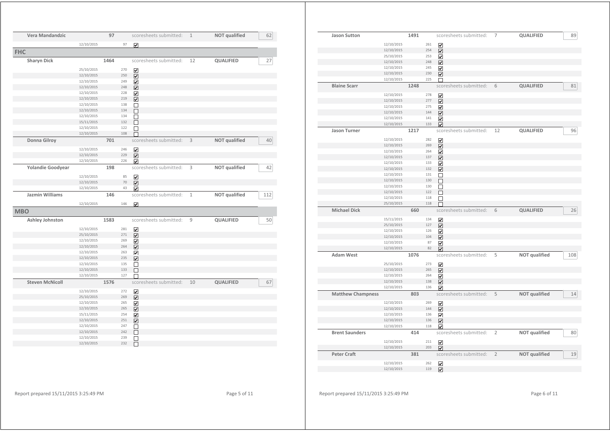| Vera Mandandzic        |            | 97   |     | scoresheets submitted:       | $\mathbf{1}$ | <b>NOT qualified</b> | 62  |
|------------------------|------------|------|-----|------------------------------|--------------|----------------------|-----|
|                        | 12/10/2015 |      | 97  | $\overline{\mathbf{v}}$      |              |                      |     |
| <b>FHC</b>             |            |      |     |                              |              |                      |     |
| <b>Sharyn Dick</b>     |            | 1464 |     | scoresheets submitted:       | 12           | QUALIFIED            | 27  |
|                        | 25/10/2015 |      | 270 | ☑                            |              |                      |     |
|                        | 12/10/2015 |      | 250 | ☑                            |              |                      |     |
|                        | 12/10/2015 |      | 249 | ☑                            |              |                      |     |
|                        | 12/10/2015 |      | 248 | $\overline{\mathbf{v}}$      |              |                      |     |
|                        | 12/10/2015 |      | 228 | ☑                            |              |                      |     |
|                        | 12/10/2015 |      | 219 | $\overline{\mathbf{v}}$      |              |                      |     |
|                        | 12/10/2015 |      | 138 | □                            |              |                      |     |
|                        | 12/10/2015 |      | 134 | П                            |              |                      |     |
|                        | 12/10/2015 |      | 134 | □                            |              |                      |     |
|                        | 15/11/2015 |      | 132 | П                            |              |                      |     |
|                        | 12/10/2015 |      | 122 | П                            |              |                      |     |
|                        | 12/10/2015 |      | 108 |                              |              |                      |     |
| Donna Gilroy           |            | 701  |     | scoresheets submitted:       | 3            | <b>NOT qualified</b> | 40  |
|                        |            |      |     |                              |              |                      |     |
|                        | 12/10/2015 |      | 246 | ☑                            |              |                      |     |
|                        | 12/10/2015 |      | 229 | $\overline{\mathbf{v}}$      |              |                      |     |
|                        | 12/10/2015 |      | 226 | $\overline{\mathbf{v}}$      |              |                      |     |
| Yolandie Goodyear      |            | 198  |     | scoresheets submitted:       | 3            | <b>NOT</b> qualified | 42  |
|                        | 12/10/2015 |      | 85  | $\blacktriangledown$         |              |                      |     |
|                        | 12/10/2015 |      | 70  | ☑                            |              |                      |     |
|                        | 12/10/2015 |      | 43  | $\vert \checkmark$           |              |                      |     |
| Jazmin Williams        |            | 146  |     | scoresheets submitted:       | $\mathbf{1}$ | <b>NOT qualified</b> | 112 |
|                        | 12/10/2015 |      | 146 | ☑                            |              |                      |     |
| <b>MBO</b>             |            |      |     |                              |              |                      |     |
| Ashley Johnston        |            | 1583 |     | scoresheets submitted:       | 9            | <b>QUALIFIED</b>     | 50  |
|                        | 12/10/2015 |      | 281 |                              |              |                      |     |
|                        | 25/10/2015 |      | 271 | ☑<br>$\overline{\mathbf{v}}$ |              |                      |     |
|                        | 12/10/2015 |      | 269 |                              |              |                      |     |
|                        | 12/10/2015 |      | 264 | ☑<br>$\overline{\mathbf{v}}$ |              |                      |     |
|                        | 12/10/2015 |      | 263 |                              |              |                      |     |
|                        | 12/10/2015 |      | 235 | ⊽<br>$\overline{\mathbf{v}}$ |              |                      |     |
|                        | 12/10/2015 |      | 135 | □                            |              |                      |     |
|                        | 12/10/2015 |      | 133 | $\Box$                       |              |                      |     |
|                        | 12/10/2015 |      | 127 |                              |              |                      |     |
| <b>Steven McNicoll</b> |            | 1576 |     | scoresheets submitted:       | 10           | QUALIFIED            | 67  |
|                        | 12/10/2015 |      | 272 |                              |              |                      |     |
|                        | 25/10/2015 |      | 269 | ☑<br>☑                       |              |                      |     |
|                        | 12/10/2015 |      | 265 | ⊽                            |              |                      |     |
|                        | 12/10/2015 |      | 265 | ☑                            |              |                      |     |
|                        | 15/11/2015 |      | 254 | ☑                            |              |                      |     |
|                        | 12/10/2015 |      | 251 | ☑                            |              |                      |     |
|                        | 12/10/2015 |      | 247 | ப                            |              |                      |     |
|                        | 12/10/2015 |      | 242 | П                            |              |                      |     |
|                        | 12/10/2015 |      | 239 | П                            |              |                      |     |
|                        | 12/10/2015 |      | 232 | П                            |              |                      |     |
|                        |            |      |     |                              |              |                      |     |

| <b>Jason Sutton</b>      |                          | 1491 |            | scoresheets submitted:                             | 7              | QUALIFIED            | 89  |
|--------------------------|--------------------------|------|------------|----------------------------------------------------|----------------|----------------------|-----|
|                          |                          |      |            |                                                    |                |                      |     |
|                          | 12/10/2015               |      | 261        | $\overline{\mathbf{v}}$                            |                |                      |     |
|                          | 12/10/2015               |      | 254        | $\overline{\mathbf{v}}$                            |                |                      |     |
|                          | 25/10/2015<br>12/10/2015 |      | 253<br>248 | $\overline{\mathbf{v}}$                            |                |                      |     |
|                          | 12/10/2015               |      | 245        | $\blacktriangledown$<br>$\overline{\mathbf{v}}$    |                |                      |     |
|                          | 12/10/2015               |      | 230        | ☑                                                  |                |                      |     |
|                          | 12/10/2015               |      | 225        |                                                    |                |                      |     |
| <b>Blaine Scarr</b>      |                          | 1248 |            | scoresheets submitted:                             | 6              | QUALIFIED            | 81  |
|                          |                          |      |            |                                                    |                |                      |     |
|                          | 12/10/2015               |      | 278        | $\overline{\mathbf{v}}$                            |                |                      |     |
|                          | 12/10/2015<br>12/10/2015 |      | 277<br>275 | $\overline{\smile}$                                |                |                      |     |
|                          | 12/10/2015               |      | 144        | ☑                                                  |                |                      |     |
|                          | 12/10/2015               |      | 141        | $\overline{\mathbf{v}}$<br>$\overline{\mathbf{v}}$ |                |                      |     |
|                          | 12/10/2015               |      | 133        | $\overline{\mathbf{v}}$                            |                |                      |     |
| <b>Jason Turner</b>      |                          | 1217 |            | scoresheets submitted:                             | 12             | QUALIFIED            | 96  |
|                          |                          |      |            |                                                    |                |                      |     |
|                          | 12/10/2015               |      | 282        | ☑                                                  |                |                      |     |
|                          | 12/10/2015               |      | 269        | ☑                                                  |                |                      |     |
|                          | 12/10/2015               |      | 264        | ☑                                                  |                |                      |     |
|                          | 12/10/2015<br>12/10/2015 |      | 137<br>133 | ✓                                                  |                |                      |     |
|                          | 12/10/2015               |      | 132        | ☑<br>$\overline{\mathbf{v}}$                       |                |                      |     |
|                          | 12/10/2015               |      | 131        | $\Box$                                             |                |                      |     |
|                          | 12/10/2015               |      | 130        | П                                                  |                |                      |     |
|                          | 12/10/2015               |      | 130        | $\Box$                                             |                |                      |     |
|                          | 12/10/2015               |      | 122        | П                                                  |                |                      |     |
|                          | 12/10/2015               |      | 118        | П                                                  |                |                      |     |
|                          |                          |      | 118        |                                                    |                |                      |     |
|                          | 25/10/2015               |      |            | П                                                  |                |                      |     |
| <b>Michael Dick</b>      |                          | 660  |            | scoresheets submitted:                             | 6              | QUALIFIED            | 26  |
|                          | 15/11/2015               |      | 134        |                                                    |                |                      |     |
|                          | 25/10/2015               |      | 127        | ☑<br>$\blacktriangledown$                          |                |                      |     |
|                          | 12/10/2015               |      | 126        | ☑                                                  |                |                      |     |
|                          | 12/10/2015               |      | 104        | $\overline{\mathbf{v}}$                            |                |                      |     |
|                          | 12/10/2015               |      | 87         | ☑                                                  |                |                      |     |
|                          | 12/10/2015               |      | 82         | ☑                                                  |                |                      |     |
| <b>Adam West</b>         |                          | 1076 |            | scoresheets submitted:                             | 5              | <b>NOT qualified</b> | 108 |
|                          | 25/10/2015               |      | 273        | $\overline{\mathbf{v}}$                            |                |                      |     |
|                          | 12/10/2015               |      | 265        | ☑                                                  |                |                      |     |
|                          | 12/10/2015               |      | 264        | ☑                                                  |                |                      |     |
|                          | 12/10/2015               |      | 138        | ☑                                                  |                |                      |     |
|                          | 12/10/2015               |      | 136        | ✓                                                  |                |                      |     |
| <b>Matthew Champness</b> |                          | 803  |            | scoresheets submitted:                             | 5              | <b>NOT qualified</b> | 14  |
|                          | 12/10/2015               |      | 269        | $\overline{\mathbf{v}}$                            |                |                      |     |
|                          | 12/10/2015               |      | 144        | $\overline{\mathbf{v}}$                            |                |                      |     |
|                          | 12/10/2015               |      | 136        | $\overline{\mathbf{v}}$                            |                |                      |     |
|                          | 12/10/2015               |      | 136        | ☑                                                  |                |                      |     |
|                          | 12/10/2015               |      | 118        | ☑                                                  |                |                      |     |
| <b>Brent Saunders</b>    |                          | 414  |            | scoresheets submitted:                             | $\overline{2}$ | <b>NOT qualified</b> | 80  |
|                          | 12/10/2015               |      | 211        | $\overline{\mathbf{v}}$                            |                |                      |     |
|                          | 12/10/2015               |      | 203        | $\overline{\mathbf{v}}$                            |                |                      |     |
| <b>Peter Craft</b>       |                          | 381  |            | scoresheets submitted:                             | $\overline{2}$ | <b>NOT qualified</b> | 19  |
|                          |                          |      | 262        |                                                    |                |                      |     |
|                          | 12/10/2015<br>12/10/2015 |      | 119        | ☑<br>☑                                             |                |                      |     |

Report prepared 15/11/2015 3:25:49 PM Page 5 of 11

Report prepared 15/11/2015 3:25:49 PM Page 6 of 11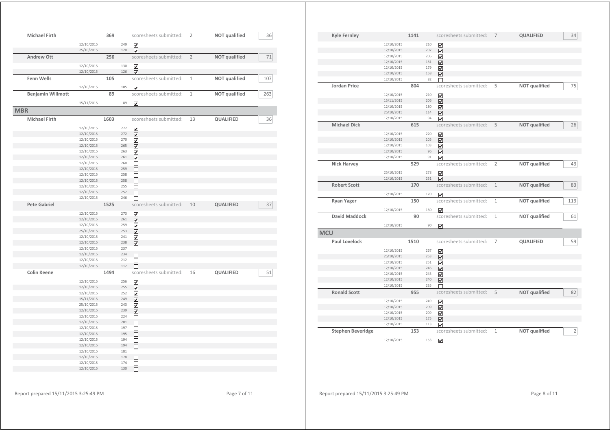| <b>Michael Firth</b>     |            | 369  |     | scoresheets submitted:       | $\overline{2}$ | <b>NOT</b> qualified | 36  |
|--------------------------|------------|------|-----|------------------------------|----------------|----------------------|-----|
|                          | 12/10/2015 |      | 249 | ☑                            |                |                      |     |
|                          | 25/10/2015 |      | 120 | $\overline{\mathbf{v}}$      |                |                      |     |
| <b>Andrew Ott</b>        |            | 256  |     | scoresheets submitted:       | 2              | NOT qualified        | 71  |
|                          | 12/10/2015 |      | 130 | ☑                            |                |                      |     |
|                          | 12/10/2015 |      | 126 | $\overline{\mathbf{v}}$      |                |                      |     |
| <b>Fenn Wells</b>        |            | 105  |     | scoresheets submitted:       | $\mathbf{1}$   | <b>NOT qualified</b> | 107 |
|                          | 12/10/2015 |      | 105 | $\overline{\mathbf{v}}$      |                |                      |     |
| <b>Benjamin Willmott</b> |            | 89   |     | scoresheets submitted:       | 1              | NOT qualified        | 263 |
|                          | 15/11/2015 |      | 89  | ☑                            |                |                      |     |
| <b>MBR</b>               |            |      |     |                              |                |                      |     |
| <b>Michael Firth</b>     |            | 1603 |     | scoresheets submitted:       | 13             | <b>QUALIFIED</b>     | 36  |
|                          | 12/10/2015 |      | 272 | ☑                            |                |                      |     |
|                          | 12/10/2015 |      | 272 | $\overline{\mathbf{v}}$      |                |                      |     |
|                          | 12/10/2015 |      | 270 | ☑                            |                |                      |     |
|                          | 12/10/2015 |      | 265 | $\overline{\mathbf{v}}$      |                |                      |     |
|                          | 12/10/2015 |      | 263 | ☑                            |                |                      |     |
|                          | 12/10/2015 |      | 261 | $\overline{\mathbf{v}}$      |                |                      |     |
|                          | 12/10/2015 |      | 260 |                              |                |                      |     |
|                          | 12/10/2015 |      | 259 | □<br>$\Box$                  |                |                      |     |
|                          | 12/10/2015 |      | 258 |                              |                |                      |     |
|                          | 12/10/2015 |      | 258 | □<br>$\Box$                  |                |                      |     |
|                          | 12/10/2015 |      | 255 |                              |                |                      |     |
|                          | 12/10/2015 |      | 252 | □                            |                |                      |     |
|                          | 12/10/2015 |      | 246 | $\Box$<br>П                  |                |                      |     |
|                          |            |      |     |                              |                |                      |     |
|                          |            |      |     |                              |                |                      |     |
| <b>Pete Gabriel</b>      |            | 1525 |     | scoresheets submitted:       | 10             | QUALIFIED            | 37  |
|                          | 12/10/2015 |      | 273 | ☑                            |                |                      |     |
|                          | 12/10/2015 |      | 261 | $\overline{\mathbf{v}}$      |                |                      |     |
|                          | 12/10/2015 |      | 259 |                              |                |                      |     |
|                          | 25/10/2015 |      | 253 | $\boxed{\blacktriangledown}$ |                |                      |     |
|                          | 12/10/2015 |      | 241 | $\overline{\mathbf{v}}$      |                |                      |     |
|                          | 12/10/2015 |      | 238 | ☑<br>☑                       |                |                      |     |
|                          | 12/10/2015 |      | 237 |                              |                |                      |     |
|                          | 12/10/2015 |      | 234 | □<br>$\Box$                  |                |                      |     |
|                          | 12/10/2015 |      | 212 | □                            |                |                      |     |
|                          | 12/10/2015 |      | 112 | П                            |                |                      |     |
| <b>Colin Keene</b>       |            | 1494 |     | scoresheets submitted:       | 16             | QUALIFIED            | 51  |
|                          | 12/10/2015 |      | 256 |                              |                |                      |     |
|                          | 12/10/2015 |      | 255 | ☑                            |                |                      |     |
|                          | 12/10/2015 |      | 252 | $\overline{\mathbf{v}}$      |                |                      |     |
|                          | 15/11/2015 |      | 249 | $\boxed{\blacktriangledown}$ |                |                      |     |
|                          | 25/10/2015 |      | 243 | $\overline{\mathbf{v}}$      |                |                      |     |
|                          | 12/10/2015 |      | 239 | ☑                            |                |                      |     |
|                          | 12/10/2015 |      | 224 | $\overline{\mathbf{v}}$      |                |                      |     |
|                          | 12/10/2015 |      | 201 | □<br>□                       |                |                      |     |
|                          | 12/10/2015 |      | 197 | □                            |                |                      |     |
|                          | 12/10/2015 |      | 195 | П                            |                |                      |     |
|                          | 12/10/2015 |      | 194 | □                            |                |                      |     |
|                          | 12/10/2015 |      | 194 | П                            |                |                      |     |
|                          | 12/10/2015 |      | 181 | □                            |                |                      |     |
|                          | 12/10/2015 |      | 178 | П                            |                |                      |     |
|                          | 12/10/2015 |      | 174 | □                            |                |                      |     |

| <b>Kyle Fernley</b>      |            | 1141 |     | scoresheets submitted:  | $\overline{7}$ | QUALIFIED            | 34             |
|--------------------------|------------|------|-----|-------------------------|----------------|----------------------|----------------|
|                          | 12/10/2015 |      | 210 | $\overline{\mathbf{v}}$ |                |                      |                |
|                          | 12/10/2015 |      | 207 | ☑                       |                |                      |                |
|                          | 12/10/2015 |      | 206 | $\overline{\mathbf{v}}$ |                |                      |                |
|                          | 12/10/2015 |      | 181 | ☑                       |                |                      |                |
|                          | 12/10/2015 |      | 179 | $\overline{\mathbf{v}}$ |                |                      |                |
|                          | 12/10/2015 |      | 158 | ☑                       |                |                      |                |
|                          | 12/10/2015 |      | 82  |                         |                |                      |                |
| <b>Jordan Price</b>      |            | 804  |     | scoresheets submitted:  | 5              | <b>NOT qualified</b> | 75             |
|                          |            |      |     |                         |                |                      |                |
|                          | 12/10/2015 |      | 210 | $\overline{\mathbf{v}}$ |                |                      |                |
|                          | 15/11/2015 |      | 206 | $\overline{\mathbf{v}}$ |                |                      |                |
|                          | 12/10/2015 |      | 180 | $\overline{\mathbf{v}}$ |                |                      |                |
|                          | 25/10/2015 |      | 114 | $\overline{\mathsf{v}}$ |                |                      |                |
|                          | 12/10/2015 |      | 94  | $\overline{\mathsf{v}}$ |                |                      |                |
| <b>Michael Dick</b>      |            | 615  |     | scoresheets submitted:  | 5              | <b>NOT qualified</b> | 26             |
|                          |            |      |     |                         |                |                      |                |
|                          | 12/10/2015 |      | 220 | ⊽                       |                |                      |                |
|                          | 12/10/2015 |      | 105 | $\overline{\mathbf{v}}$ |                |                      |                |
|                          | 12/10/2015 |      | 103 | $\blacktriangledown$    |                |                      |                |
|                          | 12/10/2015 |      | 96  | ☑                       |                |                      |                |
|                          | 12/10/2015 |      | 91  | M                       |                |                      |                |
| <b>Nick Harvey</b>       |            | 529  |     | scoresheets submitted:  | $\overline{2}$ | <b>NOT qualified</b> | 43             |
|                          | 25/10/2015 |      | 278 | $\overline{\mathbf{v}}$ |                |                      |                |
|                          | 12/10/2015 |      | 251 | ☑                       |                |                      |                |
| <b>Robert Scott</b>      |            | 170  |     | scoresheets submitted:  | $1\,$          | <b>NOT qualified</b> | 83             |
|                          |            |      |     |                         |                |                      |                |
|                          | 12/10/2015 |      | 170 | $\overline{\mathbf{v}}$ |                |                      |                |
| <b>Ryan Yager</b>        |            | 150  |     | scoresheets submitted:  | $\mathbf{1}$   | <b>NOT qualified</b> | 113            |
|                          | 12/10/2015 |      | 150 |                         |                |                      |                |
|                          |            |      |     | ☑                       |                |                      |                |
| <b>David Maddock</b>     |            | 90   |     | scoresheets submitted:  | $\mathbf{1}$   | NOT qualified        | 61             |
|                          | 12/10/2015 |      | 90  | $\overline{\mathbf{v}}$ |                |                      |                |
| <b>MCU</b>               |            |      |     |                         |                |                      |                |
|                          |            |      |     |                         |                |                      |                |
| <b>Paul Lovelock</b>     |            | 1510 |     | scoresheets submitted:  | 7              | <b>QUALIFIED</b>     | 59             |
|                          | 12/10/2015 |      | 267 | ☑                       |                |                      |                |
|                          | 25/10/2015 |      | 263 | $\overline{\mathbf{v}}$ |                |                      |                |
|                          | 12/10/2015 |      | 251 | ☑                       |                |                      |                |
|                          | 12/10/2015 |      | 246 | $\overline{\mathbf{v}}$ |                |                      |                |
|                          | 12/10/2015 |      | 243 | ⊽                       |                |                      |                |
|                          | 12/10/2015 |      | 240 | $\blacktriangledown$    |                |                      |                |
|                          | 12/10/2015 |      | 235 | г                       |                |                      |                |
| <b>Ronald Scott</b>      |            | 955  |     | scoresheets submitted:  | 5              | <b>NOT qualified</b> | 82             |
|                          |            |      |     |                         |                |                      |                |
|                          | 12/10/2015 |      | 249 | ☑                       |                |                      |                |
|                          | 12/10/2015 |      | 209 | $\overline{\mathbf{v}}$ |                |                      |                |
|                          | 12/10/2015 |      | 209 | $\overline{\mathbf{v}}$ |                |                      |                |
|                          | 12/10/2015 |      | 175 | ☑                       |                |                      |                |
|                          | 12/10/2015 |      | 113 | ☑                       |                |                      |                |
| <b>Stephen Beveridge</b> |            | 153  |     | scoresheets submitted:  | $\mathbf{1}$   | <b>NOT qualified</b> | $\overline{2}$ |
|                          |            |      |     |                         |                |                      |                |
|                          | 12/10/2015 |      | 153 | $\overline{\mathbf{v}}$ |                |                      |                |
|                          |            |      |     |                         |                |                      |                |

Report prepared 15/11/2015 3:25:49 PM **Page 8 of 11**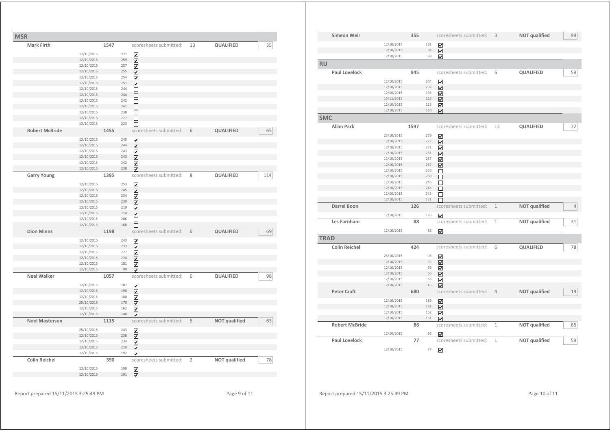| <b>Mark Firth</b>     |                          | 1547       | scoresheets submitted: | 13             | QUALIFIED            |  |
|-----------------------|--------------------------|------------|------------------------|----------------|----------------------|--|
|                       |                          |            |                        |                |                      |  |
|                       | 12/10/2015               | 271        | ☑                      |                |                      |  |
|                       | 12/10/2015               | 259        | ☑                      |                |                      |  |
|                       | 12/10/2015               | 257        | ☑                      |                |                      |  |
|                       | 12/10/2015               | 255        | ☑                      |                |                      |  |
|                       | 12/10/2015               | 254        | ☑                      |                |                      |  |
|                       | 12/10/2015               | 251        | ☑                      |                |                      |  |
|                       | 12/10/2015<br>12/10/2015 | 244<br>244 | □<br>П                 |                |                      |  |
|                       | 12/10/2015               | 242        | □                      |                |                      |  |
|                       | 12/10/2015               | 241        | $\Box$                 |                |                      |  |
|                       | 12/10/2015               | 238        | П                      |                |                      |  |
|                       | 12/10/2015               | 227        | П                      |                |                      |  |
|                       | 12/10/2015               | 223        |                        |                |                      |  |
| <b>Robert McBride</b> |                          | 1455       | scoresheets submitted: | 6              | QUALIFIED            |  |
|                       |                          | 245        |                        |                |                      |  |
|                       | 12/10/2015<br>12/10/2015 | 244        | ☑                      |                |                      |  |
|                       | 12/10/2015               | 243        | ☑<br>☑                 |                |                      |  |
|                       | 12/10/2015               | 243        | ☑                      |                |                      |  |
|                       | 12/10/2015               | 242        | ☑                      |                |                      |  |
|                       | 12/10/2015               | 238        | ☑                      |                |                      |  |
| <b>Garry Young</b>    |                          | 1395       | scoresheets submitted: | 8              | QUALIFIED            |  |
|                       |                          |            |                        |                |                      |  |
|                       | 12/10/2015               | 253        | ☑                      |                |                      |  |
|                       | 12/10/2015               | 245<br>234 | ☑                      |                |                      |  |
|                       | 12/10/2015               | 230        | ☑                      |                |                      |  |
|                       | 12/10/2015<br>12/10/2015 | 219        | ☑                      |                |                      |  |
|                       | 12/10/2015               | 214        | ☑<br>☑                 |                |                      |  |
|                       | 12/10/2015               | 206        | П                      |                |                      |  |
|                       | 12/10/2015               | 168        | ┍                      |                |                      |  |
| <b>Dion Minns</b>     |                          | 1198       | scoresheets submitted: | 6              | QUALIFIED            |  |
|                       | 12/10/2015               | 243        |                        |                |                      |  |
|                       | 12/10/2015               | 233        | ☑<br>☑                 |                |                      |  |
|                       | 12/10/2015               | 227        | ☑                      |                |                      |  |
|                       | 12/10/2015               | 224        | ☑                      |                |                      |  |
|                       | 12/10/2015               | 181        | ☑                      |                |                      |  |
|                       | 12/10/2015               |            | 90<br>☑                |                |                      |  |
| <b>Neal Walker</b>    |                          | 1057       | scoresheets submitted: | 6              | QUALIFIED            |  |
|                       | 12/10/2015               | 207        | ☑                      |                |                      |  |
|                       | 12/10/2015               | 190        | ☑                      |                |                      |  |
|                       | 12/10/2015               | 180        | ☑                      |                |                      |  |
|                       | 25/10/2015               | 170        | ☑                      |                |                      |  |
|                       | 12/10/2015               | 162        | ☑                      |                |                      |  |
|                       | 12/10/2015               | 148        | ☑                      |                |                      |  |
| <b>Noel Masterson</b> |                          | 1115       | scoresheets submitted: | 5              | <b>NOT qualified</b> |  |
|                       | 25/10/2015               | 243        | ☑                      |                |                      |  |
|                       | 12/10/2015               | 236        | ☑                      |                |                      |  |
|                       | 12/10/2015               | 234        | ☑                      |                |                      |  |
|                       | 12/10/2015               | 210        | ☑                      |                |                      |  |
|                       | 12/10/2015               | 192        | ☑                      |                |                      |  |
|                       |                          |            |                        |                |                      |  |
| <b>Colin Reichel</b>  |                          | 390        | scoresheets submitted: | $\overline{2}$ | <b>NOT qualified</b> |  |

| Simeon Weir           |                          | 355  |           | scoresheets submitted:       | 3              | <b>NOT qualified</b> | 99             |
|-----------------------|--------------------------|------|-----------|------------------------------|----------------|----------------------|----------------|
|                       |                          |      |           |                              |                |                      |                |
|                       | 12/10/2015               |      | 181<br>94 | ☑                            |                |                      |                |
|                       | 12/10/2015<br>12/10/2015 |      | 80        | $\overline{\mathbf{v}}$      |                |                      |                |
| <b>RU</b>             |                          |      |           | $\overline{\mathbf{v}}$      |                |                      |                |
|                       |                          |      |           |                              |                |                      |                |
| <b>Paul Lovelock</b>  |                          | 945  |           | scoresheets submitted:       | 6              | QUALIFIED            | 59             |
|                       | 12/10/2015               |      | 204       | ✔                            |                |                      |                |
|                       | 12/10/2015               |      | 202       | $\blacktriangledown$         |                |                      |                |
|                       | 12/10/2015               |      | 198       | $\overline{\mathbf{v}}$      |                |                      |                |
|                       | 15/11/2015               |      | 116       | $\overline{\mathbf{v}}$      |                |                      |                |
|                       | 12/10/2015               |      | 115       | $\overline{\mathbf{v}}$      |                |                      |                |
|                       | 12/10/2015               |      | 110       | $\overline{\mathbf{v}}$      |                |                      |                |
| <b>SMC</b>            |                          |      |           |                              |                |                      |                |
| <b>Allan Park</b>     |                          | 1597 |           | scoresheets submitted:       | 12             | QUALIFIED            | 72             |
|                       | 25/10/2015               |      | 279       | ☑                            |                |                      |                |
|                       | 12/10/2015               |      | 272       | $\overline{\mathbf{v}}$      |                |                      |                |
|                       | 12/10/2015               |      | 271       | ☑                            |                |                      |                |
|                       | 12/10/2015               |      | 261       | $\overline{\mathbf{v}}$      |                |                      |                |
|                       | 12/10/2015               |      | 257       | $\blacktriangledown$         |                |                      |                |
|                       | 12/10/2015               |      | 257       | $\overline{\mathbf{v}}$      |                |                      |                |
|                       | 12/10/2015               |      | 256       | $\Box$                       |                |                      |                |
|                       | 12/10/2015               |      | 250       | П                            |                |                      |                |
|                       | 12/10/2015               |      | 246       | □                            |                |                      |                |
|                       | 12/10/2015               |      | 245       | П                            |                |                      |                |
|                       | 12/10/2015               |      | 245       | П                            |                |                      |                |
|                       | 12/10/2015               |      | 131       | г                            |                |                      |                |
| <b>Darrel Boon</b>    |                          | 126  |           | scoresheets submitted:       | $\mathbf{1}$   | <b>NOT qualified</b> | $\overline{4}$ |
|                       | 12/10/2015               |      | 126       | $\overline{\mathbf{v}}$      |                |                      |                |
| Les Farnham           |                          | 88   |           | scoresheets submitted:       | $\mathbf{1}$   | <b>NOT</b> qualified | 31             |
|                       | 12/10/2015               |      | 88        | ☑                            |                |                      |                |
| <b>TRAD</b>           |                          |      |           |                              |                |                      |                |
| <b>Colin Reichel</b>  |                          | 424  |           | scoresheets submitted:       | 6              | QUALIFIED            | 78             |
|                       | 25/10/2015               |      | 95        |                              |                |                      |                |
|                       | 12/10/2015               |      | 93        | ☑<br>$\overline{\mathbf{v}}$ |                |                      |                |
|                       | 12/10/2015               |      | 69        | $\overline{\mathbf{v}}$      |                |                      |                |
|                       | 12/10/2015               |      | 66        | ☑                            |                |                      |                |
|                       | 12/10/2015               |      | 56        | ☑                            |                |                      |                |
|                       | 12/10/2015               |      | 45        | $\overline{\mathbf{v}}$      |                |                      |                |
| <b>Peter Craft</b>    |                          | 680  |           | scoresheets submitted:       | $\overline{4}$ | NOT qualified        | 19             |
|                       | 12/10/2015               |      | 186       | $\overline{\mathbf{v}}$      |                |                      |                |
|                       | 12/10/2015               |      | 181       | $\overline{\mathbf{v}}$      |                |                      |                |
|                       | 12/10/2015               |      | 162       | ☑                            |                |                      |                |
|                       | 12/10/2015               |      | 151       | $\overline{\mathbf{v}}$      |                |                      |                |
| <b>Robert McBride</b> |                          | 86   |           | scoresheets submitted:       | $\mathbf{1}$   | <b>NOT qualified</b> | 65             |
|                       | 12/10/2015               |      | 86        | ☑                            |                |                      |                |
| <b>Paul Lovelock</b>  |                          | 77   |           | scoresheets submitted:       | $\mathbf{1}$   | <b>NOT qualified</b> | 59             |
|                       | 12/10/2015               |      | 77        | $\overline{\mathbf{v}}$      |                |                      |                |

Report prepared 15/11/2015 3:25:49 PM Page 9 of 11

Report prepared 15/11/2015 3:25:49 PM Page 10 of 11